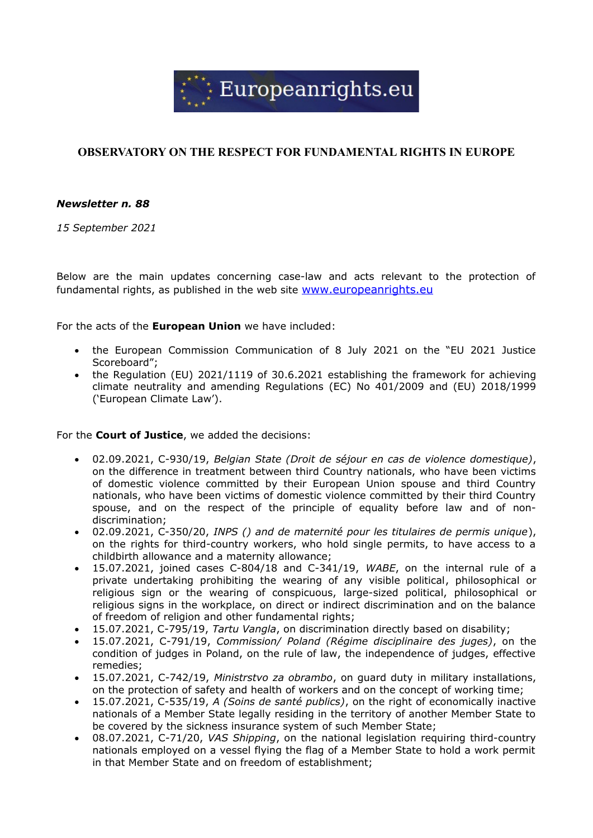

# **OBSERVATORY ON THE RESPECT FOR FUNDAMENTAL RIGHTS IN EUROPE**

# *Newsletter n. 88*

*15 September 2021*

Below are the main updates concerning case-law and acts relevant to the protection of fundamental rights, as published in the web site [www.europeanrights.eu](http://www.europeanrights.eu/)

For the acts of the **European Union** we have included:

- the European Commission Communication of 8 July 2021 on the "EU 2021 Justice Scoreboard";
- the Regulation (EU) 2021/1119 of 30.6.2021 establishing the framework for achieving climate neutrality and amending Regulations (EC) No 401/2009 and (EU) 2018/1999 ('European Climate Law').

For the **Court of Justice**, we added the decisions:

- 02.09.2021, C-930/19, *Belgian State (Droit de séjour en cas de violence domestique)*, on the difference in treatment between third Country nationals, who have been victims of domestic violence committed by their European Union spouse and third Country nationals, who have been victims of domestic violence committed by their third Country spouse, and on the respect of the principle of equality before law and of nondiscrimination;
- 02.09.2021, C-350/20, *INPS () and de maternité pour les titulaires de permis unique*), on the rights for third-country workers, who hold single permits, to have access to a childbirth allowance and a maternity allowance;
- 15.07.2021, joined cases C-804/18 and C-341/19, *WABE*, on the internal rule of a private undertaking prohibiting the wearing of any visible political, philosophical or religious sign or the wearing of conspicuous, large-sized political, philosophical or religious signs in the workplace, on direct or indirect discrimination and on the balance of freedom of religion and other fundamental rights;
- 15.07.2021, C-795/19, *Tartu Vangla*, on discrimination directly based on disability;
- 15.07.2021, C-791/19, *Commission/ Poland (Régime disciplinaire des juges)*, on the condition of judges in Poland, on the rule of law, the independence of judges, effective remedies;
- 15.07.2021, C-742/19, *Ministrstvo za obrambo*, on guard duty in military installations, on the protection of safety and health of workers and on the concept of working time;
- 15.07.2021, C-535/19, *A (Soins de santé publics)*, on the right of economically inactive nationals of a Member State legally residing in the territory of another Member State to be covered by the sickness insurance system of such Member State;
- 08.07.2021, C-71/20, *VAS Shipping*, on the national legislation requiring third-country nationals employed on a vessel flying the flag of a Member State to hold a work permit in that Member State and on freedom of establishment;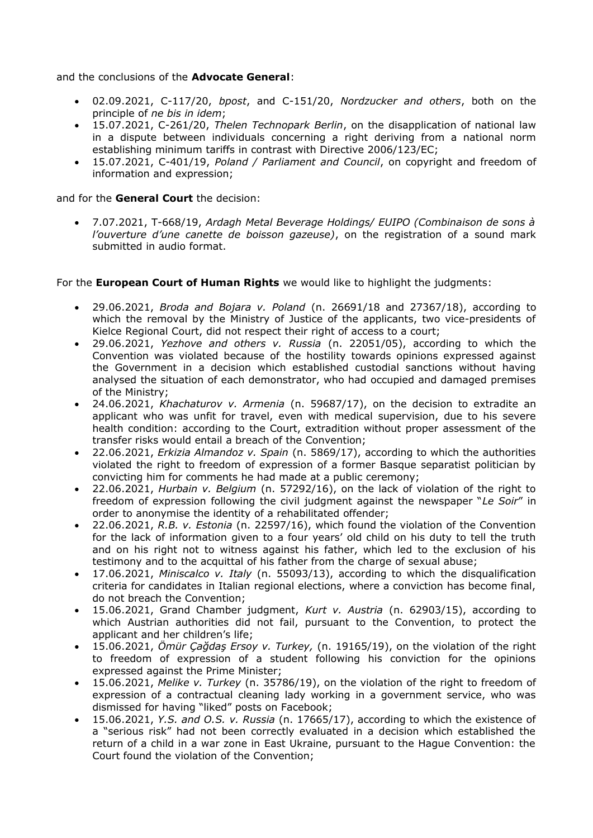and the conclusions of the **Advocate General**:

- 02.09.2021, C-117/20, *bpost*, and C-151/20, *Nordzucker and others*, both on the principle of *ne bis in idem*;
- 15.07.2021, C-261/20, *Thelen Technopark Berlin*, on the disapplication of national law in a dispute between individuals concerning a right deriving from a national norm establishing minimum tariffs in contrast with Directive 2006/123/EC;
- 15.07.2021, C-401/19, *Poland / Parliament and Council*, on copyright and freedom of information and expression;

### and for the **General Court** the decision:

 7.07.2021, T-668/19, *Ardagh Metal Beverage Holdings/ EUIPO (Combinaison de sons à l'ouverture d'une canette de boisson gazeuse)*, on the registration of a sound mark submitted in audio format.

For the **European Court of Human Rights** we would like to highlight the judgments:

- 29.06.2021, *Broda and Bojara v. Poland* (n. 26691/18 and 27367/18), according to which the removal by the Ministry of Justice of the applicants, two vice-presidents of Kielce Regional Court, did not respect their right of access to a court;
- 29.06.2021, *Yezhove and others v. Russia* (n. 22051/05), according to which the Convention was violated because of the hostility towards opinions expressed against the Government in a decision which established custodial sanctions without having analysed the situation of each demonstrator, who had occupied and damaged premises of the Ministry;
- 24.06.2021, *Khachaturov v. Armenia* (n. 59687/17), on the decision to extradite an applicant who was unfit for travel, even with medical supervision, due to his severe health condition: according to the Court, extradition without proper assessment of the transfer risks would entail a breach of the Convention;
- 22.06.2021, *Erkizia Almandoz v. Spain* (n. 5869/17), according to which the authorities violated the right to freedom of expression of a former Basque separatist politician by convicting him for comments he had made at a public ceremony;
- 22.06.2021, *Hurbain v. Belgium* (n. 57292/16), on the lack of violation of the right to freedom of expression following the civil judgment against the newspaper "*Le Soir*" in order to anonymise the identity of a rehabilitated offender;
- 22.06.2021, *R.B. v. Estonia* (n. 22597/16), which found the violation of the Convention for the lack of information given to a four years' old child on his duty to tell the truth and on his right not to witness against his father, which led to the exclusion of his testimony and to the acquittal of his father from the charge of sexual abuse;
- 17.06.2021, *Miniscalco v. Italy* (n. 55093/13), according to which the disqualification criteria for candidates in Italian regional elections, where a conviction has become final, do not breach the Convention;
- 15.06.2021, Grand Chamber judgment, *Kurt v. Austria* (n. 62903/15), according to which Austrian authorities did not fail, pursuant to the Convention, to protect the applicant and her children's life;
- 15.06.2021, *Ömür Çağdaş Ersoy v. Turkey,* (n. 19165/19), on the violation of the right to freedom of expression of a student following his conviction for the opinions expressed against the Prime Minister;
- 15.06.2021, *Melike v. Turkey* (n. 35786/19), on the violation of the right to freedom of expression of a contractual cleaning lady working in a government service, who was dismissed for having "liked" posts on Facebook;
- 15.06.2021, *Y.S. and O.S. v. Russia* (n. 17665/17), according to which the existence of a "serious risk" had not been correctly evaluated in a decision which established the return of a child in a war zone in East Ukraine, pursuant to the Hague Convention: the Court found the violation of the Convention;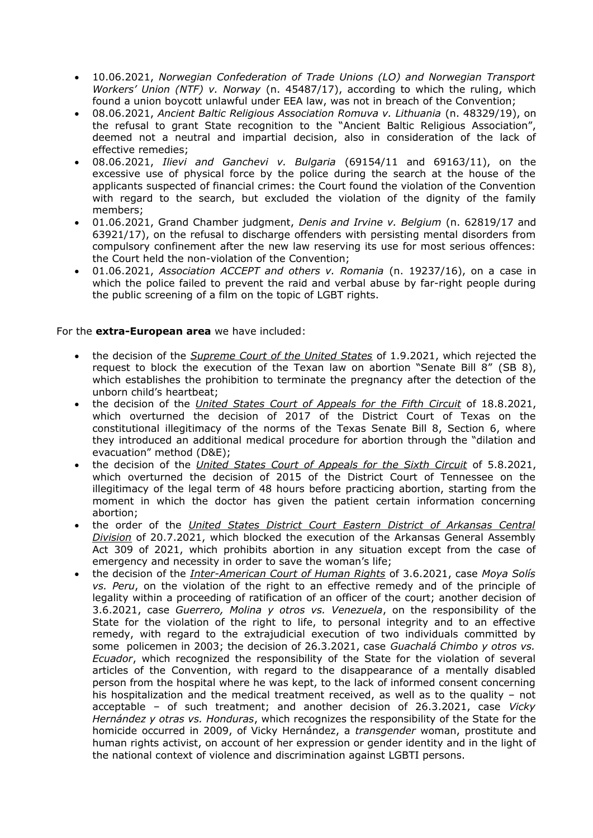- 10.06.2021, *Norwegian Confederation of Trade Unions (LO) and Norwegian Transport Workers' Union (NTF) v. Norway* (n. 45487/17), according to which the ruling, which found a union boycott unlawful under EEA law, was not in breach of the Convention;
- 08.06.2021, *Ancient Baltic Religious Association Romuva v. Lithuania* (n. 48329/19), on the refusal to grant State recognition to the "Ancient Baltic Religious Association", deemed not a neutral and impartial decision, also in consideration of the lack of effective remedies;
- 08.06.2021, *Ilievi and Ganchevi v. Bulgaria* (69154/11 and 69163/11), on the excessive use of physical force by the police during the search at the house of the applicants suspected of financial crimes: the Court found the violation of the Convention with regard to the search, but excluded the violation of the dignity of the family members;
- 01.06.2021, Grand Chamber judgment, *Denis and Irvine v. Belgium* (n. 62819/17 and 63921/17), on the refusal to discharge offenders with persisting mental disorders from compulsory confinement after the new law reserving its use for most serious offences: the Court held the non-violation of the Convention;
- 01.06.2021, *Association ACCEPT and others v. Romania* (n. 19237/16), on a case in which the police failed to prevent the raid and verbal abuse by far-right people during the public screening of a film on the topic of LGBT rights.

## For the **extra-European area** we have included:

- the decision of the *Supreme Court of the United States* of 1.9.2021, which rejected the request to block the execution of the Texan law on abortion "Senate Bill 8" (SB 8), which establishes the prohibition to terminate the pregnancy after the detection of the unborn child's heartbeat;
- the decision of the *United States Court of Appeals for the Fifth Circuit* of 18.8.2021, which overturned the decision of 2017 of the District Court of Texas on the constitutional illegitimacy of the norms of the Texas Senate Bill 8, Section 6, where they introduced an additional medical procedure for abortion through the "dilation and evacuation" method (D&E);
- the decision of the *United States Court of Appeals for the Sixth Circuit* of 5.8.2021, which overturned the decision of 2015 of the District Court of Tennessee on the illegitimacy of the legal term of 48 hours before practicing abortion, starting from the moment in which the doctor has given the patient certain information concerning abortion;
- the order of the *United States District Court Eastern District of Arkansas Central Division* of 20.7.2021, which blocked the execution of the Arkansas General Assembly Act 309 of 2021, which prohibits abortion in any situation except from the case of emergency and necessity in order to save the woman's life;
- the decision of the *Inter-American Court of Human Rights* of 3.6.2021, case *Moya Solís vs. Peru*, on the violation of the right to an effective remedy and of the principle of legality within a proceeding of ratification of an officer of the court; another decision of 3.6.2021, case *Guerrero, Molina y otros vs. Venezuela*, on the responsibility of the State for the violation of the right to life, to personal integrity and to an effective remedy, with regard to the extrajudicial execution of two individuals committed by some policemen in 2003; the decision of 26.3.2021, case *Guachalá Chimbo y otros vs. Ecuador*, which recognized the responsibility of the State for the violation of several articles of the Convention, with regard to the disappearance of a mentally disabled person from the hospital where he was kept, to the lack of informed consent concerning his hospitalization and the medical treatment received, as well as to the quality – not acceptable – of such treatment; and another decision of 26.3.2021, case *Vicky Hernández y otras vs. Honduras*, which recognizes the responsibility of the State for the homicide occurred in 2009, of Vicky Hernández, a *transgender* woman, prostitute and human rights activist, on account of her expression or gender identity and in the light of the national context of violence and discrimination against LGBTI persons.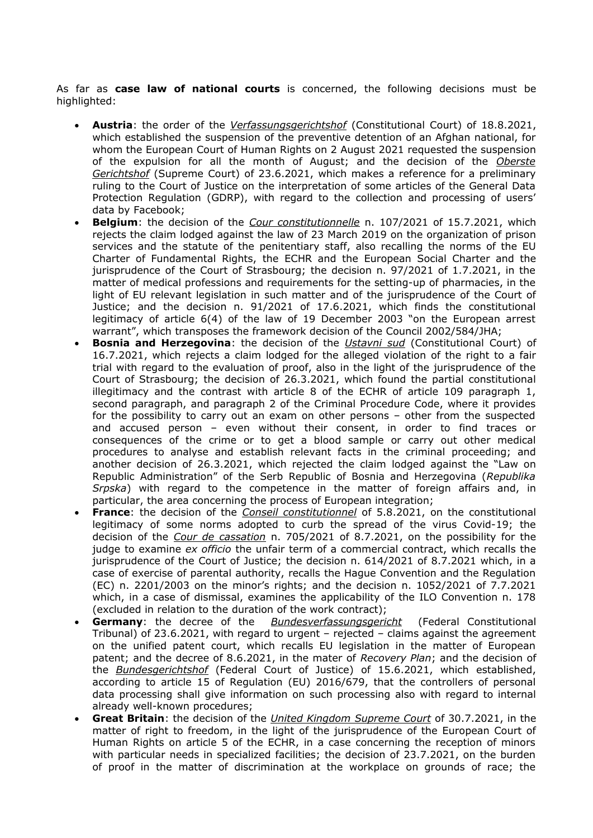As far as **case law of national courts** is concerned, the following decisions must be highlighted:

- **Austria**: the order of the *Verfassungsgerichtshof* (Constitutional Court) of 18.8.2021, which established the suspension of the preventive detention of an Afghan national, for whom the European Court of Human Rights on 2 August 2021 requested the suspension of the expulsion for all the month of August; and the decision of the *Oberste Gerichtshof* (Supreme Court) of 23.6.2021, which makes a reference for a preliminary ruling to the Court of Justice on the interpretation of some articles of the General Data Protection Regulation (GDRP), with regard to the collection and processing of users' data by Facebook;
- **Belgium**: the decision of the *Cour constitutionnelle* n. 107/2021 of 15.7.2021, which rejects the claim lodged against the law of 23 March 2019 on the organization of prison services and the statute of the penitentiary staff, also recalling the norms of the EU Charter of Fundamental Rights, the ECHR and the European Social Charter and the jurisprudence of the Court of Strasbourg; the decision n. 97/2021 of 1.7.2021, in the matter of medical professions and requirements for the setting-up of pharmacies, in the light of EU relevant legislation in such matter and of the jurisprudence of the Court of Justice; and the decision n. 91/2021 of 17.6.2021, which finds the constitutional legitimacy of article 6(4) of the law of 19 December 2003 "on the European arrest warrant", which transposes the framework decision of the Council 2002/584/JHA;
- **Bosnia and Herzegovina**: the decision of the *Ustavni sud* (Constitutional Court) of 16.7.2021, which rejects a claim lodged for the alleged violation of the right to a fair trial with regard to the evaluation of proof, also in the light of the jurisprudence of the Court of Strasbourg; the decision of 26.3.2021, which found the partial constitutional illegitimacy and the contrast with article 8 of the ECHR of article 109 paragraph 1, second paragraph, and paragraph 2 of the Criminal Procedure Code, where it provides for the possibility to carry out an exam on other persons – other from the suspected and accused person – even without their consent, in order to find traces or consequences of the crime or to get a blood sample or carry out other medical procedures to analyse and establish relevant facts in the criminal proceeding; and another decision of 26.3.2021, which rejected the claim lodged against the "Law on Republic Administration" of the Serb Republic of Bosnia and Herzegovina (*Republika Srpska*) with regard to the competence in the matter of foreign affairs and, in particular, the area concerning the process of European integration;
- **France**: the decision of the *Conseil constitutionnel* of 5.8.2021, on the constitutional legitimacy of some norms adopted to curb the spread of the virus Covid-19; the decision of the *Cour de cassation* n. 705/2021 of 8.7.2021, on the possibility for the judge to examine *ex officio* the unfair term of a commercial contract, which recalls the jurisprudence of the Court of Justice; the decision n. 614/2021 of 8.7.2021 which, in a case of exercise of parental authority, recalls the Hague Convention and the Regulation (EC) n. 2201/2003 on the minor's rights; and the decision n. 1052/2021 of 7.7.2021 which, in a case of dismissal, examines the applicability of the ILO Convention n. 178 (excluded in relation to the duration of the work contract);
- **Germany**: the decree of the *Bundesverfassungsgericht* (Federal Constitutional Tribunal) of 23.6.2021, with regard to urgent – rejected – claims against the agreement on the unified patent court, which recalls EU legislation in the matter of European patent; and the decree of 8.6.2021, in the mater of *Recovery Plan*; and the decision of the *Bundesgerichtshof* (Federal Court of Justice) of 15.6.2021, which established, according to article 15 of Regulation (EU) 2016/679, that the controllers of personal data processing shall give information on such processing also with regard to internal already well-known procedures;
- **Great Britain**: the decision of the *United Kingdom Supreme Court* of 30.7.2021, in the matter of right to freedom, in the light of the jurisprudence of the European Court of Human Rights on article 5 of the ECHR, in a case concerning the reception of minors with particular needs in specialized facilities; the decision of 23.7.2021, on the burden of proof in the matter of discrimination at the workplace on grounds of race; the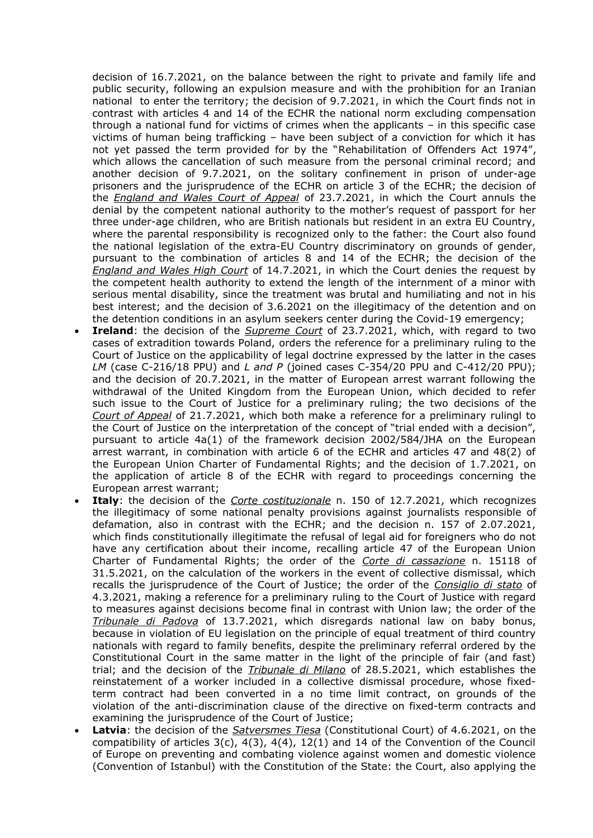decision of 16.7.2021, on the balance between the right to private and family life and public security, following an expulsion measure and with the prohibition for an Iranian national to enter the territory; the decision of 9.7.2021, in which the Court finds not in contrast with articles 4 and 14 of the ECHR the national norm excluding compensation through a national fund for victims of crimes when the applicants – in this specific case victims of human being trafficking – have been subject of a conviction for which it has not yet passed the term provided for by the "Rehabilitation of Offenders Act 1974", which allows the cancellation of such measure from the personal criminal record; and another decision of 9.7.2021, on the solitary confinement in prison of under-age prisoners and the jurisprudence of the ECHR on article 3 of the ECHR; the decision of the *England and Wales Court of Appeal* of 23.7.2021, in which the Court annuls the denial by the competent national authority to the mother's request of passport for her three under-age children, who are British nationals but resident in an extra EU Country, where the parental responsibility is recognized only to the father: the Court also found the national legislation of the extra-EU Country discriminatory on grounds of gender, pursuant to the combination of articles 8 and 14 of the ECHR; the decision of the *England and Wales High Court* of 14.7.2021, in which the Court denies the request by the competent health authority to extend the length of the internment of a minor with serious mental disability, since the treatment was brutal and humiliating and not in his best interest; and the decision of 3.6.2021 on the illegitimacy of the detention and on the detention conditions in an asylum seekers center during the Covid-19 emergency;

- **Ireland**: the decision of the *Supreme Court* of 23.7.2021, which, with regard to two cases of extradition towards Poland, orders the reference for a preliminary ruling to the Court of Justice on the applicability of legal doctrine expressed by the latter in the cases *LM* (case C-216/18 PPU) and *L and P* (joined cases C-354/20 PPU and C-412/20 PPU); and the decision of 20.7.2021, in the matter of European arrest warrant following the withdrawal of the United Kingdom from the European Union, which decided to refer such issue to the Court of Justice for a preliminary ruling; the two decisions of the *Court of Appeal* of 21.7.2021, which both make a reference for a preliminary rulingl to the Court of Justice on the interpretation of the concept of "trial ended with a decision", pursuant to article 4a(1) of the framework decision 2002/584/JHA on the European arrest warrant, in combination with article 6 of the ECHR and articles 47 and 48(2) of the European Union Charter of Fundamental Rights; and the decision of 1.7.2021, on the application of article 8 of the ECHR with regard to proceedings concerning the European arrest warrant;
- **Italy**: the decision of the *Corte costituzionale* n. 150 of 12.7.2021, which recognizes the illegitimacy of some national penalty provisions against journalists responsible of defamation, also in contrast with the ECHR; and the decision n. 157 of 2.07.2021, which finds constitutionally illegitimate the refusal of legal aid for foreigners who do not have any certification about their income, recalling article 47 of the European Union Charter of Fundamental Rights; the order of the *Corte di cassazione* n. 15118 of 31.5.2021, on the calculation of the workers in the event of collective dismissal, which recalls the jurisprudence of the Court of Justice; the order of the *Consiglio di stato* of 4.3.2021, making a reference for a preliminary ruling to the Court of Justice with regard to measures against decisions become final in contrast with Union law; the order of the *Tribunale di Padova* of 13.7.2021, which disregards national law on baby bonus, because in violation of EU legislation on the principle of equal treatment of third country nationals with regard to family benefits, despite the preliminary referral ordered by the Constitutional Court in the same matter in the light of the principle of fair (and fast) trial; and the decision of the *Tribunale di Milano* of 28.5.2021, which establishes the reinstatement of a worker included in a collective dismissal procedure, whose fixedterm contract had been converted in a no time limit contract, on grounds of the violation of the anti-discrimination clause of the directive on fixed-term contracts and examining the jurisprudence of the Court of Justice;
- **Latvia**: the decision of the *Satversmes Tiesa* (Constitutional Court) of 4.6.2021, on the compatibility of articles  $3(c)$ ,  $4(3)$ ,  $4(4)$ ,  $12(1)$  and 14 of the Convention of the Council of Europe on preventing and combating violence against women and domestic violence (Convention of Istanbul) with the Constitution of the State: the Court, also applying the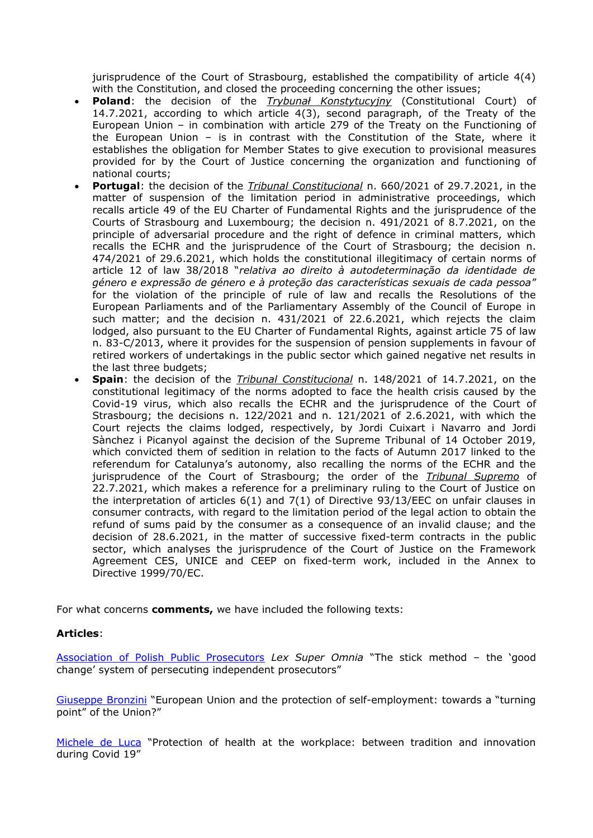jurisprudence of the Court of Strasbourg, established the compatibility of article 4(4) with the Constitution, and closed the proceeding concerning the other issues;

- **Poland**: the decision of the *Trybunał Konstytucyjny* (Constitutional Court) of 14.7.2021, according to which article 4(3), second paragraph, of the Treaty of the European Union – in combination with article 279 of the Treaty on the Functioning of the European Union – is in contrast with the Constitution of the State, where it establishes the obligation for Member States to give execution to provisional measures provided for by the Court of Justice concerning the organization and functioning of national courts;
- **Portugal**: the decision of the *Tribunal Constitucional* n. 660/2021 of 29.7.2021, in the matter of suspension of the limitation period in administrative proceedings, which recalls article 49 of the EU Charter of Fundamental Rights and the jurisprudence of the Courts of Strasbourg and Luxembourg; the decision n. 491/2021 of 8.7.2021, on the principle of adversarial procedure and the right of defence in criminal matters, which recalls the ECHR and the jurisprudence of the Court of Strasbourg; the decision n. 474/2021 of 29.6.2021, which holds the constitutional illegitimacy of certain norms of article 12 of law 38/2018 "*relativa ao direito à autodeterminação da identidade de género e expressão de género e à proteção das características sexuais de cada pessoa*" for the violation of the principle of rule of law and recalls the Resolutions of the European Parliaments and of the Parliamentary Assembly of the Council of Europe in such matter; and the decision n. 431/2021 of 22.6.2021, which rejects the claim lodged, also pursuant to the EU Charter of Fundamental Rights, against article 75 of law n. 83-C/2013, where it provides for the suspension of pension supplements in favour of retired workers of undertakings in the public sector which gained negative net results in the last three budgets;
- **Spain**: the decision of the *Tribunal Constitucional* n. 148/2021 of 14.7.2021, on the constitutional legitimacy of the norms adopted to face the health crisis caused by the Covid-19 virus, which also recalls the ECHR and the jurisprudence of the Court of Strasbourg; the decisions n. 122/2021 and n. 121/2021 of 2.6.2021, with which the Court rejects the claims lodged, respectively, by Jordi Cuixart i Navarro and Jordi Sànchez i Picanyol against the decision of the Supreme Tribunal of 14 October 2019, which convicted them of sedition in relation to the facts of Autumn 2017 linked to the referendum for Catalunya's autonomy, also recalling the norms of the ECHR and the jurisprudence of the Court of Strasbourg; the order of the *Tribunal Supremo* of 22.7.2021, which makes a reference for a preliminary ruling to the Court of Justice on the interpretation of articles 6(1) and 7(1) of Directive 93/13/EEC on unfair clauses in consumer contracts, with regard to the limitation period of the legal action to obtain the refund of sums paid by the consumer as a consequence of an invalid clause; and the decision of 28.6.2021, in the matter of successive fixed-term contracts in the public sector, which analyses the jurisprudence of the Court of Justice on the Framework Agreement CES, UNICE and CEEP on fixed-term work, included in the Annex to Directive 1999/70/EC.

For what concerns **comments,** we have included the following texts:

#### **Articles**:

[Association of Polish Public Prosecutors](http://www.europeanrights.eu/index.php?funzione=S&op=5&id=1803) *Lex Super Omnia* "The stick method – the 'good change' system of persecuting independent prosecutors"

[Giuseppe Bronzini](http://www.europeanrights.eu/index.php?funzione=S&op=5&id=1814) "European Union and the protection of self-employment: towards a "turning point" of the Union?"

[Michele de Luca](http://www.europeanrights.eu/index.php?funzione=S&op=5&id=1804) "Protection of health at the workplace: between tradition and innovation during Covid 19"